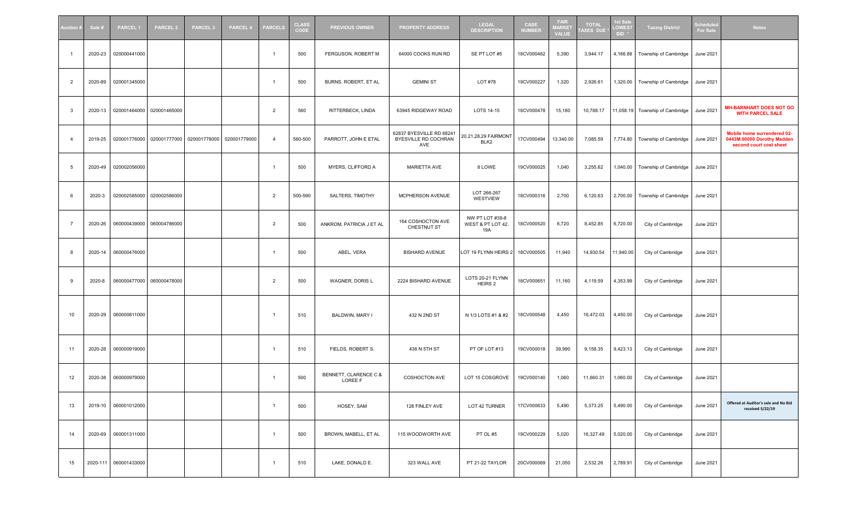| <b>Nuction</b> # | Sale #  | <b>PARCEL1</b>        | <b>PARCEL 2</b>           | <b>PARCEL 3</b>                                     | <b>PARCEL 4</b> | <b>PARCELS</b> | <b>CLASS</b><br>CODE | <b>PREVIOUS OWNER</b>            | <b>PROPERTY ADDRESS</b>                                 | <b>LEGAL</b><br><b>DESCRIPTION</b>          | CASE<br><b>NUMBER</b> | <b>FAIR</b><br><b>MARKET</b><br><b>VALUE</b> | <b>TOTAL</b><br><b>AXES DUE</b> | <b>st Sale</b><br><b>OWEST</b><br>BID <sup>3</sup> | <b>Taxing District</b>          | chedul<br><b>For Sak</b> | <b>Notes</b>                                                                         |
|------------------|---------|-----------------------|---------------------------|-----------------------------------------------------|-----------------|----------------|----------------------|----------------------------------|---------------------------------------------------------|---------------------------------------------|-----------------------|----------------------------------------------|---------------------------------|----------------------------------------------------|---------------------------------|--------------------------|--------------------------------------------------------------------------------------|
| $\overline{1}$   | 2020-23 | 020000441000          |                           |                                                     |                 | $\overline{1}$ | 500                  | FERGUSON, ROBERT M               | 64000 COOKS RUN RD                                      | SE PT LOT #5                                | 18CV000462            | 5,390                                        | 3,944.17                        | 4,166.88                                           | Township of Cambridge           | June 2021                |                                                                                      |
| $\overline{2}$   | 2020-89 | 020001345000          |                           |                                                     |                 | -1             | 500                  | BURNS, ROBERT, ET AL             | <b>GEMINI ST</b>                                        | LOT #78                                     | 19CV000227            | 1,320                                        | 2,926.61                        |                                                    | 1,320.00 Township of Cambridge  | June 2021                |                                                                                      |
| -3               | 2020-13 |                       | 020001464000 020001465000 |                                                     |                 | $\overline{2}$ | 560                  | RITTERBECK, LINDA                | 63945 RIDGEWAY ROAD                                     | LOTS 14-15                                  | 18CV000478            | 15,180                                       | 10,788.17                       |                                                    | 11,058.19 Township of Cambridge | June 2021                | <b>MH-BARNHART DOES NOT GO</b><br><b>WITH PARCEL SALE</b>                            |
| $\overline{4}$   | 2019-25 |                       |                           | 020001776000 020001777000 020001778000 020001779000 |                 | $\overline{4}$ | 560-500              | PARROTT, JOHN E ETAL             | 62837 BYESVILLE RD 68241<br>BYESVILLE RD COCHRAN<br>AVE | 20,21,28,29 FAIRMONT<br>BLK2                | 17CV000494            | 13,340.00                                    | 7,085.59                        |                                                    | 7,774.80 Township of Cambridge  | June 2021                | Mobile home surrendered 02-<br>0443M.00000 Dorothy Madden<br>second court cost sheet |
| 5                | 2020-49 | 020002056000          |                           |                                                     |                 | -1             | 500                  | MYERS, CLIFFORD A                | MARIETTA AVE                                            | 8 LOWE                                      | 19CV000025            | 1,040                                        | 3,255.62                        |                                                    | 1,040.00 Township of Cambridge  | <b>June 2021</b>         |                                                                                      |
| - 6              | 2020-3  |                       | 020002585000 020002586000 |                                                     |                 | $\overline{2}$ | 500-590              | SALTERS, TIMOTHY                 | MCPHERSON AVENUE                                        | LOT 266-267<br>WESTVIEW                     | 18CV000316            | 2,700                                        | 6,120.63                        |                                                    | 2,700.00 Township of Cambridge  | <b>June 2021</b>         |                                                                                      |
| $\overline{7}$   | 2020-26 |                       | 060000439000 060004786000 |                                                     |                 | $\overline{2}$ | 500                  | ANKROM, PATRICIA J ET AL         | 164 COSHOCTON AVE<br>CHESTNUT ST                        | NW PT LOT #39-8<br>WEST & PT LOT 42.<br>19A | 18CV000520            | 6,720                                        | 8,452.85                        | 6,720.00                                           | City of Cambridge               | June 2021                |                                                                                      |
| -8               | 2020-14 | 060000476000          |                           |                                                     |                 | $\overline{1}$ | 500                  | ABEL, VERA                       | <b>BISHARD AVENUE</b>                                   | LOT 19 FLYNN HEIRS 2                        | 18CV000505            | 11,940                                       | 14,930.54                       | 11,940.00                                          | City of Cambridge               | June 2021                |                                                                                      |
| 9                | 2020-8  |                       | 060000477000 060000478000 |                                                     |                 | $\overline{2}$ | 500                  | WAGNER, DORIS L.                 | 2224 BISHARD AVENUE                                     | LOTS 20-21 FLYNN<br>HEIRS 2                 | 18CV000651            | 11,160                                       | 4,119.59                        | 4,353.99                                           | City of Cambridge               | <b>June 2021</b>         |                                                                                      |
| 10               | 2020-29 | 060000811000          |                           |                                                     |                 | $\overline{1}$ | 510                  | BALDWIN, MARY I                  | 432 N 2ND ST                                            | N 1/3 LOTS #1 & #2                          | 18CV000548            | 4,450                                        | 16,472.03                       | 4,450.00                                           | City of Cambridge               | June 2021                |                                                                                      |
| 11               | 2020-28 | 060000919000          |                           |                                                     |                 | $\overline{1}$ | 510                  | FIELDS, ROBERT S.                | 436 N 5TH ST                                            | PT OF LOT #13                               | 19CV000018            | 39,990                                       | 9,158.35                        | 9,423.13                                           | City of Cambridge               | June 2021                |                                                                                      |
| 12               | 2020-38 | 060000979000          |                           |                                                     |                 | -1             | 500                  | BENNETT, CLARENCE C &<br>LOREE F | COSHOCTON AVE                                           | LOT 15 COSGROVE                             | 19CV000140            | 1,060                                        | 11,660.31                       | 1,060.00                                           | City of Cambridge               | June 2021                |                                                                                      |
| 13               | 2019-10 | 060001012000          |                           |                                                     |                 | $\overline{1}$ | 500                  | HOSEY, SAM                       | 128 FINLEY AVE                                          | LOT 42 TURNER                               | 17CV000633            | 5,490                                        | 5,373.25                        | 5,490.00                                           | City of Cambridge               | June 2021                | Offered at Auditor's sale and No Bid<br>received 5/22/19                             |
| 14               | 2020-69 | 060001311000          |                           |                                                     |                 | $\overline{1}$ | 500                  | BROWN, MABELL, ET AL             | 115 WOODWORTH AVE                                       | PT OL #5                                    | 19CV000229            | 5,020                                        | 16,327.49                       | 5,020.00                                           | City of Cambridge               | June 2021                |                                                                                      |
| 15               |         | 2020-111 060001433000 |                           |                                                     |                 | $\overline{1}$ | 510                  | LAKE, DONALD E.                  | 323 WALL AVE                                            | PT 21-22 TAYLOR                             | 20CV000069            | 21,050                                       | 2,532.26                        | 2,789.91                                           | City of Cambridge               | June 2021                |                                                                                      |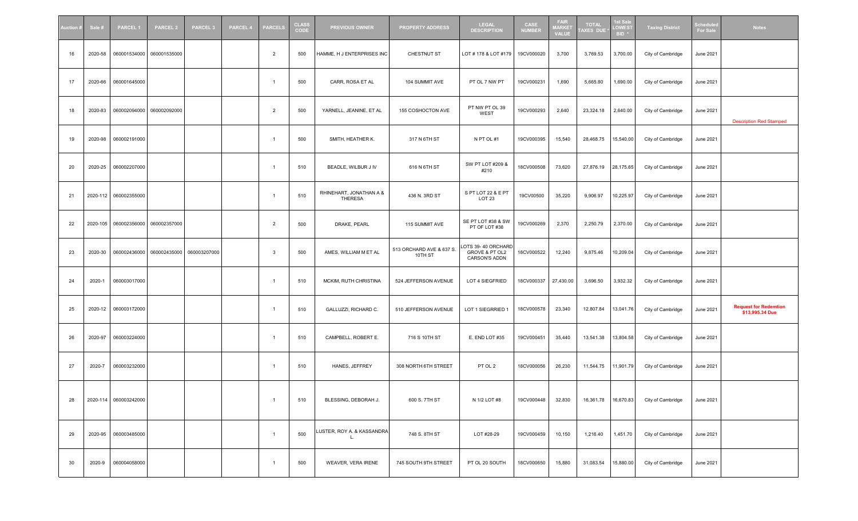| uction <b>:</b> | Sale #   | <b>PARCEL1</b>        | <b>PARCEL 2</b> | <b>PARCEL 3</b> | <b>PARCEL 4</b> | <b>PARCELS</b> | <b>CLASS</b><br>CODE | <b>PREVIOUS OWNER</b>              | <b>PROPERTY ADDRESS</b>             | <b>LEGAL</b><br><b>DESCRIPTION</b>                    | CASE<br><b>NUMBER</b> | <b>FAIR</b><br><b>MARKE</b><br><b>VALUE</b> | <b>TOTAL</b><br><b>AXES DU</b> | <b>1st Sal</b><br>LOWES <sup>-</sup><br>BID <sup>3</sup> | <b>Taxing District</b> | Schedul<br>For Sak | <b>Notes</b>                                    |
|-----------------|----------|-----------------------|-----------------|-----------------|-----------------|----------------|----------------------|------------------------------------|-------------------------------------|-------------------------------------------------------|-----------------------|---------------------------------------------|--------------------------------|----------------------------------------------------------|------------------------|--------------------|-------------------------------------------------|
| 16              | 2020-58  | 060001534000          | 060001535000    |                 |                 | $\overline{2}$ | 500                  | HAMME, H J ENTERPRISES INC         | CHESTNUT ST                         | LOT # 178 & LOT #179                                  | 19CV000020            | 3,700                                       | 3,769.53                       | 3,700.00                                                 | City of Cambridge      | <b>June 2021</b>   |                                                 |
| 17              | 2020-66  | 060001645000          |                 |                 |                 |                | 500                  | CARR, ROSA ET AL                   | 104 SUMMIT AVE                      | PT OL 7 NW PT                                         | 19CV000231            | 1,690                                       | 5,665.80                       | 1,690.00                                                 | City of Cambridge      | June 2021          |                                                 |
| 18              | 2020-83  | 060002094000          | 060002092000    |                 |                 | 2              | 500                  | YARNELL, JEANINE, ET AL            | 155 COSHOCTON AVE                   | PT NW PT OL 39<br>WEST                                | 19CV000293            | 2,640                                       | 23,324.18                      | 2,640.00                                                 | City of Cambridge      | June 2021          | <b>Description Red Stamped</b>                  |
| 19              | 2020-98  | 060002191000          |                 |                 |                 | -1             | 500                  | SMITH, HEATHER K.                  | 317 N 6TH ST                        | N PT OL #1                                            | 19CV000395            | 15,540                                      | 28,468.75                      | 15,540.00                                                | City of Cambridge      | <b>June 2021</b>   |                                                 |
| 20              | 2020-25  | 060002207000          |                 |                 |                 |                | 510                  | BEADLE, WILBUR J IV                | 616 N 6TH ST                        | SW PT LOT #209 &<br>#210                              | 18CV000508            | 73,620                                      | 27,876.19                      | 28,175.65                                                | City of Cambridge      | June 2021          |                                                 |
| 21              | 2020-112 | 060002355000          |                 |                 |                 |                | 510                  | RHINEHART, JONATHAN A &<br>THERESA | 436 N. 3RD ST                       | S PT LOT 22 & E PT<br>LOT <sub>23</sub>               | 19CV00500             | 35,220                                      | 9,906.97                       | 10,225.97                                                | City of Cambridge      | June 2021          |                                                 |
| 22              | 2020-105 | 060002356000          | 060002357000    |                 |                 | 2              | 500                  | DRAKE, PEARL                       | 115 SUMMIT AVE                      | SE PT LOT #38 & SW<br>PT OF LOT #38                   | 19CV000269            | 2,370                                       | 2,250.79                       | 2,370.00                                                 | City of Cambridge      | June 2021          |                                                 |
| 23              | 2020-30  | 060002436000          | 060002435000    | 060003207000    |                 | $\mathbf{3}$   | 500                  | AMES, WILLIAM M ET AL              | 513 ORCHARD AVE & 637 S.<br>10TH ST | LOTS 39-40 ORCHARD<br>GROVE & PT OL2<br>CARSON'S ADDN | 18CV000522            | 12,240                                      | 9,875.46                       | 10,209.04                                                | City of Cambridge      | <b>June 2021</b>   |                                                 |
| 24              | 2020-1   | 060003017000          |                 |                 |                 | $\mathbf{1}$   | 510                  | MCKIM, RUTH CHRISTINA              | 524 JEFFERSON AVENUE                | LOT 4 SIEGFRIED                                       | 18CV000337            | 27,430.00                                   | 3,696.50                       | 3,932.32                                                 | City of Cambridge      | <b>June 2021</b>   |                                                 |
| 25              | 2020-12  | 060003172000          |                 |                 |                 | $\overline{1}$ | 510                  | GALLUZZI, RICHARD C.               | 510 JEFFERSON AVENUE                | LOT 1 SIEGRRIED 1                                     | 18CV000578            | 23,340                                      | 12,807.84                      | 13,041.76                                                | City of Cambridge      | June 2021          | <b>Request for Redemtion</b><br>\$13,995.34 Due |
| 26              | 2020-97  | 060003224000          |                 |                 |                 |                | 510                  | CAMPBELL, ROBERT E.                | 716 S 10TH ST                       | E. END LOT #35                                        | 19CV000451            | 35,440                                      | 13,541.38                      | 13,804.58                                                | City of Cambridge      | June 2021          |                                                 |
| 27              | 2020-7   | 060003232000          |                 |                 |                 |                | 510                  | HANES, JEFFREY                     | 308 NORTH 6TH STREET                | PT OL 2                                               | 18CV000056            | 26,230                                      | 11,544.75                      | 11,901.79                                                | City of Cambridge      | June 2021          |                                                 |
| 28              |          | 2020-114 060003242000 |                 |                 |                 |                | 510                  | BLESSING, DEBORAH J.               | 600 S. 7TH ST                       | N 1/2 LOT #8                                          | 19CV000448 32,830     |                                             |                                |                                                          | City of Cambridge      | June 2021          |                                                 |
| 29              |          | 2020-95 060003485000  |                 |                 |                 | $\overline{1}$ | 500                  | LUSTER, ROY A. & KASSANDRA<br>L.   | 748 S. 8TH ST                       | LOT #28-29                                            | 19CV000459            | 10,150                                      | 1,216.40                       | 1,451.70                                                 | City of Cambridge      | <b>June 2021</b>   |                                                 |
| 30              | 2020-9   | 060004058000          |                 |                 |                 | $\overline{1}$ | 500                  | WEAVER, VERA IRENE                 | 745 SOUTH 9TH STREET                | PT OL 20 SOUTH                                        | 18CV000650            | 15,880                                      | 31,083.54                      | 15,880.00                                                | City of Cambridge      | <b>June 2021</b>   |                                                 |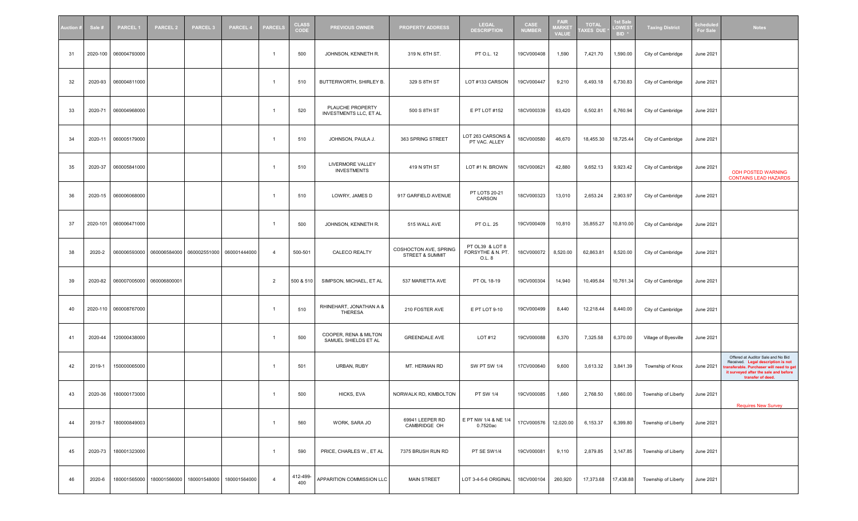| <b>Nuction</b> ≢ | Sale #   | <b>PARCEL1</b> | <b>PARCEL 2</b>           | <b>PARCEL 3</b> | <b>PARCEL 4</b> | <b>PARCELS</b> | <b>CLASS</b><br>CODE | <b>PREVIOUS OWNER</b>                         | <b>PROPERTY ADDRESS</b>                  | <b>LEGAL</b><br><b>DESCRIPTION</b>             | CASE<br><b>NUMBER</b> | <b>FAIR</b><br><b>MARKE</b><br><b>VALUE</b> | <b>TOTAL</b><br>AXES DUE | <b>st Sak</b><br>LOWES <sup>®</sup><br>BID <sup>3</sup> | <b>Taxing District</b> | chedul<br>For Sal | <b>Notes</b>                                                                                                                                                                      |
|------------------|----------|----------------|---------------------------|-----------------|-----------------|----------------|----------------------|-----------------------------------------------|------------------------------------------|------------------------------------------------|-----------------------|---------------------------------------------|--------------------------|---------------------------------------------------------|------------------------|-------------------|-----------------------------------------------------------------------------------------------------------------------------------------------------------------------------------|
| 31               | 2020-100 | 060004793000   |                           |                 |                 | -1             | 500                  | JOHNSON, KENNETH R.                           | 319 N. 6TH ST.                           | PT O.L. 12                                     | 19CV000408            | 1,590                                       | 7,421.70                 | 1,590.00                                                | City of Cambridge      | <b>June 2021</b>  |                                                                                                                                                                                   |
| 32               | 2020-93  | 060004811000   |                           |                 |                 | -1             | 510                  | BUTTERWORTH, SHIRLEY B.                       | 329 S 8TH ST                             | LOT #133 CARSON                                | 19CV000447            | 9,210                                       | 6,493.18                 | 6,730.83                                                | City of Cambridge      | June 2021         |                                                                                                                                                                                   |
| 33               | 2020-71  | 060004968000   |                           |                 |                 |                | 520                  | PLAUCHE PROPERTY<br>INVESTMENTS LLC, ET AL    | 500 S 8TH ST                             | E PT LOT #152                                  | 18CV000339            | 63,420                                      | 6,502.81                 | 6,760.94                                                | City of Cambridge      | June 2021         |                                                                                                                                                                                   |
| 34               | 2020-11  | 060005179000   |                           |                 |                 | -1             | 510                  | JOHNSON, PAULA J.                             | 363 SPRING STREET                        | LOT 263 CARSONS &<br>PT VAC. ALLEY             | 18CV000580            | 46,670                                      | 18,455.30                | 18,725.44                                               | City of Cambridge      | <b>June 2021</b>  |                                                                                                                                                                                   |
| 35               | 2020-37  | 060005841000   |                           |                 |                 | -1             | 510                  | LIVERMORE VALLEY<br><b>INVESTMENTS</b>        | 419 N 9TH ST                             | LOT #1 N. BROWN                                | 18CV000621            | 42,880                                      | 9,652.13                 | 9,923.42                                                | City of Cambridge      | June 2021         | <b>ODH POSTED WARNING</b><br><b>CONTAINS LEAD HAZARDS</b>                                                                                                                         |
| 36               | 2020-15  | 060006068000   |                           |                 |                 | $\overline{1}$ | 510                  | LOWRY, JAMES D                                | 917 GARFIELD AVENUE                      | PT LOTS 20-21<br>CARSON                        | 18CV000323            | 13,010                                      | 2,653.24                 | 2,903.97                                                | City of Cambridge      | June 2021         |                                                                                                                                                                                   |
| 37               | 2020-101 | 060006471000   |                           |                 |                 | -1             | 500                  | JOHNSON, KENNETH R.                           | 515 WALL AVE                             | PT O.L. 25                                     | 19CV000409            | 10,810                                      | 35,855.27                | 10,810.00                                               | City of Cambridge      | June 2021         |                                                                                                                                                                                   |
| 38               | 2020-2   | 060006593000   | 060006584000              | 060002551000    | 060001444000    | $\overline{4}$ | 500-501              | CALECO REALTY                                 | COSHOCTON AVE, SPRING<br>STREET & SUMMIT | PT OL39 & LOT 8<br>FORSYTHE & N. PT.<br>O.L. 8 | 18CV000072            | 8,520.00                                    | 62,863.81                | 8,520.00                                                | City of Cambridge      | June 2021         |                                                                                                                                                                                   |
| 39               | 2020-82  |                | 060007005000 060006800001 |                 |                 | $\overline{2}$ | 500 & 510            | SIMPSON, MICHAEL, ET AL                       | 537 MARIETTA AVE                         | PT OL 18-19                                    | 19CV000304            | 14,940                                      | 10,495.84                | 10,761.34                                               | City of Cambridge      | June 2021         |                                                                                                                                                                                   |
| 40               | 2020-110 | 060008767000   |                           |                 |                 |                | 510                  | RHINEHART, JONATHAN A &<br>THERESA            | 210 FOSTER AVE                           | E PT LOT 9-10                                  | 19CV000499            | 8,440                                       | 12,218.44                | 8,440.00                                                | City of Cambridge      | June 2021         |                                                                                                                                                                                   |
| 41               | 2020-44  | 120000438000   |                           |                 |                 | $\overline{1}$ | 500                  | COOPER, RENA & MILTON<br>SAMUEL SHIELDS ET AL | <b>GREENDALE AVE</b>                     | LOT #12                                        | 19CV000088            | 6,370                                       | 7,325.58                 | 6,370.00                                                | Village of Byesville   | June 2021         |                                                                                                                                                                                   |
| 42               | 2019-1   | 150000065000   |                           |                 |                 | 1              | 501                  | URBAN, RUBY                                   | MT. HERMAN RD                            | <b>SW PT SW 1/4</b>                            | 17CV000640            | 9,600                                       | 3,613.32                 | 3,841.39                                                | Township of Knox       | June 2021         | Offered at Auditor Sale and No Bid<br>Received. Legal description is not<br>ransferable. Purchaser will need to get<br>it surveyed after the sale and before<br>transfer of deed. |
| 43               | 2020-36  | 180000173000   |                           |                 |                 | $\overline{1}$ | 500                  | HICKS, EVA                                    | NORWALK RD, KIMBOLTON                    | PT SW 1/4                                      | 19CV000085            | 1,660                                       | 2,768.50                 | 1,660.00                                                | Township of Liberty    | June 2021         | <b>Requires New Survey</b>                                                                                                                                                        |
| 44               | 2019-7   | 180000849003   |                           |                 |                 | $\mathbf{1}$   | 560                  | WORK, SARA JO                                 | 69941 LEEPER RD<br>CAMBRIDGE OH          | E PT NW 1/4 & NE 1/4<br>0.7520ac               | 17CV000576            | 12,020.00                                   | 6,153.37                 | 6,399.80                                                | Township of Liberty    | June 2021         |                                                                                                                                                                                   |
| 45               | 2020-73  | 180001323000   |                           |                 |                 | $\overline{1}$ | 590                  | PRICE, CHARLES W., ET AL                      | 7375 BRUSH RUN RD                        | PT SE SW1/4                                    | 19CV000081            | 9,110                                       | 2,879.85                 | 3,147.85                                                | Township of Liberty    | June 2021         |                                                                                                                                                                                   |
| 46               | 2020-6   | 180001565000   | 180001566000              | 180001548000    | 180001564000    | $\overline{4}$ | 412-499-<br>400      | APPARITION COMMISSION LLC                     | <b>MAIN STREET</b>                       | LOT 3-4-5-6 ORIGINAL                           | 18CV000104            | 260,920                                     | 17,373.68                | 17,438.88                                               | Township of Liberty    | June 2021         |                                                                                                                                                                                   |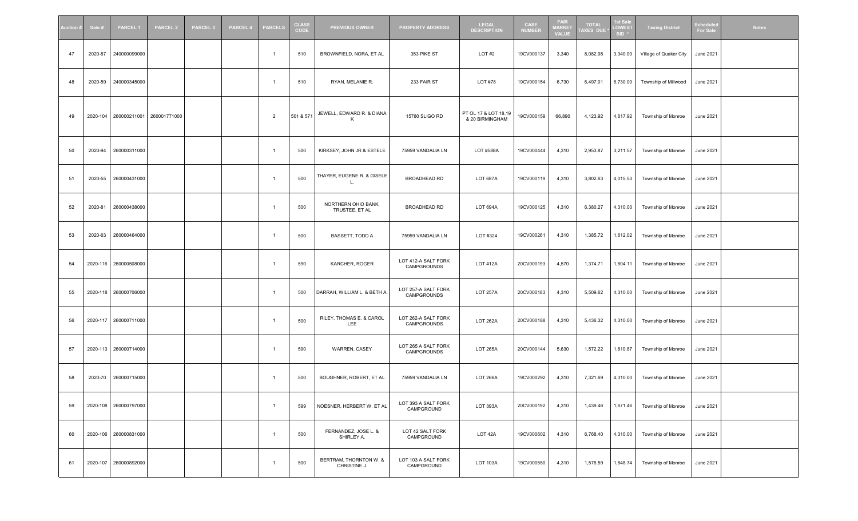| uction # | Sale #   | <b>PARCEL1</b>        | <b>PARCEL 2</b> | <b>PARCEL 3</b> | <b>PARCEL 4</b> | <b>PARCELS</b> | <b>CLASS</b><br>CODE | <b>PREVIOUS OWNER</b>                  | <b>PROPERTY ADDRESS</b>            | <b>LEGAL</b><br><b>DESCRIPTION</b>      | CASE<br><b>NUMBER</b> | <b>FAIR</b><br><b>MARKET</b><br><b>VALUE</b> | <b>TOTAL</b><br><b>AXES DUE</b> | <b>st Sak</b><br><b>LOWEST</b><br><b>BID</b> | <b>Taxing District</b> | chedul<br><b>For Sal</b> | <b>Notes</b> |
|----------|----------|-----------------------|-----------------|-----------------|-----------------|----------------|----------------------|----------------------------------------|------------------------------------|-----------------------------------------|-----------------------|----------------------------------------------|---------------------------------|----------------------------------------------|------------------------|--------------------------|--------------|
| 47       | 2020-87  | 240000099000          |                 |                 |                 | $\overline{1}$ | 510                  | BROWNFIELD, NORA, ET AL                | 353 PIKE ST                        | LOT#2                                   | 19CV000137            | 3,340                                        | 8,082.98                        | 3,340.00                                     | Village of Quaker City | June 2021                |              |
| 48       | 2020-59  | 240000345000          |                 |                 |                 | $\mathbf{1}$   | 510                  | RYAN, MELANIE R.                       | 233 FAIR ST                        | LOT #78                                 | 19CV000154            | 6,730                                        | 6,497.01                        | 6,730.00                                     | Township of Millwood   | June 2021                |              |
| 49       | 2020-104 | 260000211001          | 260001771000    |                 |                 | $\overline{2}$ | 501 & 571            | JEWELL, EDWARD R. & DIANA<br>к         | 15780 SLIGO RD                     | PT OL 17 & LOT 18,19<br>& 20 BIRMINGHAM | 19CV000159            | 66,890                                       | 4,123.92                        | 4,617.92                                     | Township of Monroe     | June 2021                |              |
| 50       | 2020-94  | 260000311000          |                 |                 |                 | $\overline{1}$ | 500                  | KIRKSEY, JOHN JR & ESTELE              | 75959 VANDALIA LN                  | LOT #588A                               | 19CV000444            | 4,310                                        | 2,953.87                        | 3,211.57                                     | Township of Monroe     | June 2021                |              |
| 51       | 2020-55  | 260000431000          |                 |                 |                 | $\overline{1}$ | 500                  | THAYER, EUGENE R. & GISELE<br>L        | BROADHEAD RD                       | <b>LOT 687A</b>                         | 19CV000119            | 4,310                                        | 3,802.63                        | 4,015.53                                     | Township of Monroe     | June 2021                |              |
| 52       | 2020-81  | 260000438000          |                 |                 |                 | $\overline{1}$ | 500                  | NORTHERN OHIO BANK,<br>TRUSTEE, ET AL  | <b>BROADHEAD RD</b>                | LOT 694A                                | 19CV000125            | 4,310                                        | 6,380.27                        | 4,310.00                                     | Township of Monroe     | June 2021                |              |
| 53       | 2020-63  | 260000464000          |                 |                 |                 | $\overline{1}$ | 500                  | BASSETT, TODD A                        | 75959 VANDALIA LN                  | LOT #324                                | 19CV000261            | 4,310                                        | 1,385.72                        | 1,612.02                                     | Township of Monroe     | June 2021                |              |
| 54       | 2020-116 | 260000508000          |                 |                 |                 |                | 590                  | KARCHER, ROGER                         | LOT 412-A SALT FORK<br>CAMPGROUNDS | <b>LOT 412A</b>                         | 20CV000193            | 4,570                                        | 1,374.71                        | 1,604.11                                     | Township of Monroe     | June 2021                |              |
| 55       |          | 2020-118 260000706000 |                 |                 |                 | -1             | 500                  | DARRAH, WILLIAM L. & BETH A.           | LOT 257-A SALT FORK<br>CAMPGROUNDS | <b>LOT 257A</b>                         | 20CV000183            | 4,310                                        | 5,509.62                        | 4,310.00                                     | Township of Monroe     | June 2021                |              |
| 56       | 2020-117 | 260000711000          |                 |                 |                 | -1             | 500                  | RILEY, THOMAS E. & CAROL<br>LEE        | LOT 262-A SALT FORK<br>CAMPGROUNDS | <b>LOT 262A</b>                         | 20CV000188            | 4,310                                        | 5,436.32                        | 4,310.00                                     | Township of Monroe     | June 2021                |              |
| 57       |          | 2020-113 260000714000 |                 |                 |                 | $\mathbf{1}$   | 590                  | WARREN, CASEY                          | LOT 265 A SALT FORK<br>CAMPGROUNDS | <b>LOT 265A</b>                         | 20CV000144            | 5,630                                        | 1,572.22                        | 1,810.87                                     | Township of Monroe     | June 2021                |              |
| 58       | 2020-70  | 260000715000          |                 |                 |                 | $\overline{1}$ | 500                  | BOUGHNER, ROBERT, ET AL                | 75959 VANDALIA LN                  | <b>LOT 266A</b>                         | 19CV000292            | 4,310                                        | 7,321.69                        | 4,310.00                                     | Township of Monroe     | June 2021                |              |
| 59       |          | 2020-108 260000797000 |                 |                 |                 | $\overline{1}$ | 599                  | NOESNER, HERBERT W. ET AL              | LOT 393 A SALT FORK<br>CAMPGROUND  | <b>LOT 393A</b>                         | 20CV000192            | 4,310                                        | 1,439.46                        | 1,671.46                                     | Township of Monroe     | June 2021                |              |
| 60       |          | 2020-106 260000831000 |                 |                 |                 | $\overline{1}$ | 500                  | FERNANDEZ, JOSE L. &<br>SHIRLEY A.     | LOT 42 SALT FORK<br>CAMPGROUND     | LOT 42A                                 | 19CV000602            | 4,310                                        | 6,768.40                        | 4,310.00                                     | Township of Monroe     | June 2021                |              |
| 61       | 2020-107 | 260000892000          |                 |                 |                 | $\mathbf{1}$   | 500                  | BERTRAM, THORNTON W. &<br>CHRISTINE J. | LOT 103 A SALT FORK<br>CAMPGROUND  | <b>LOT 103A</b>                         | 19CV000550            | 4,310                                        | 1,578.59                        | 1,848.74                                     | Township of Monroe     | June 2021                |              |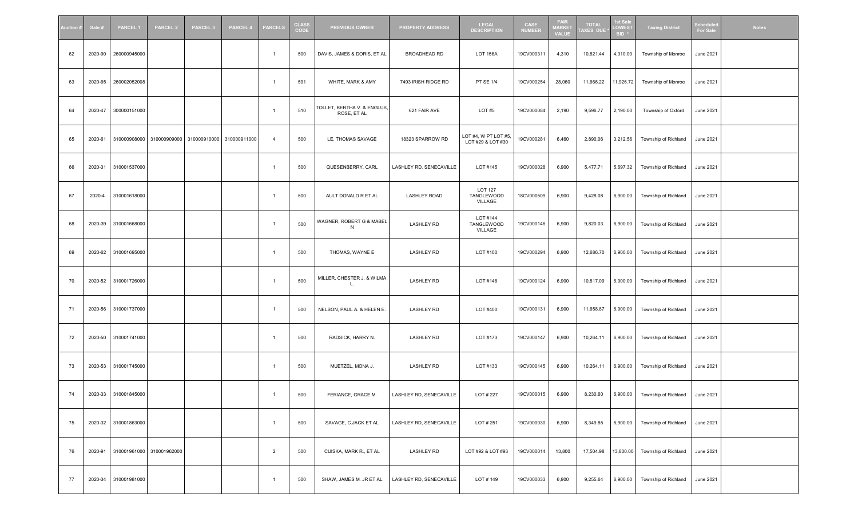| Auction # | Sale #  | <b>PARCEL1</b>       | <b>PARCEL 2</b>           | <b>PARCEL 3</b>                                     | <b>PARCEL 4</b> | <b>PARCELS</b> | <b>CLASS</b><br>CODE | <b>PREVIOUS OWNER</b>                      | <b>PROPERTY ADDRESS</b> | <b>LEGAL</b><br><b>DESCRIPTION</b>        | CASE<br><b>NUMBER</b> | <b>FAIR</b><br><b>MARKET</b><br><b>VALUE</b> | <b>TOTAL</b><br>AXES DUE | 1st Sale<br><b>LOWES</b><br>BID <sup>*</sup> | <b>Taxing District</b>        | Scheduk<br>For Sal | <b>Notes</b> |
|-----------|---------|----------------------|---------------------------|-----------------------------------------------------|-----------------|----------------|----------------------|--------------------------------------------|-------------------------|-------------------------------------------|-----------------------|----------------------------------------------|--------------------------|----------------------------------------------|-------------------------------|--------------------|--------------|
| 62        | 2020-90 | 260000945000         |                           |                                                     |                 | $\overline{1}$ | 500                  | DAVIS, JAMES & DORIS, ET AL                | BROADHEAD RD            | <b>LOT 156A</b>                           | 19CV000311            | 4,310                                        | 10,821.44                | 4,310.00                                     | Township of Monroe            | June 2021          |              |
| 63        | 2020-65 | 260002052008         |                           |                                                     |                 | 1              | 591                  | WHITE, MARK & AMY                          | 7493 IRISH RIDGE RD     | <b>PT SE 1/4</b>                          | 19CV000254            | 28,060                                       | 11,666.22                | 11,926.72                                    | Township of Monroe            | <b>June 2021</b>   |              |
| 64        | 2020-47 | 300000151000         |                           |                                                     |                 | -1             | 510                  | TOLLET, BERTHA V. & ENGLUS,<br>ROSE, ET AL | 621 FAIR AVE            | LOT#5                                     | 19CV000084            | 2,190                                        | 9,596.77                 | 2,190.00                                     | Township of Oxford            | <b>June 2021</b>   |              |
| 65        | 2020-61 |                      |                           | 310000908000 310000909000 310000910000 310000911000 |                 | $\overline{4}$ | 500                  | LE, THOMAS SAVAGE                          | 18323 SPARROW RD        | LOT #4, W PT LOT #5,<br>LOT #29 & LOT #30 | 19CV000281            | 6,460                                        | 2,890.06                 | 3,212.56                                     | Township of Richland          | <b>June 2021</b>   |              |
| 66        | 2020-31 | 310001537000         |                           |                                                     |                 | $\mathbf{1}$   | 500                  | QUESENBERRY, CARL                          | LASHLEY RD, SENECAVILLE | LOT #145                                  | 19CV000028            | 6,900                                        | 5,477.71                 | 5,697.32                                     | Township of Richland          | <b>June 2021</b>   |              |
| 67        | 2020-4  | 310001618000         |                           |                                                     |                 | $\mathbf{1}$   | 500                  | AULT DONALD R ET AL                        | <b>LASHLEY ROAD</b>     | <b>LOT 127</b><br>TANGLEWOOD<br>VILLAGE   | 18CV000509            | 6,900                                        | 9,428.08                 | 6,900.00                                     | Township of Richland          | June 2021          |              |
| 68        | 2020-39 | 310001668000         |                           |                                                     |                 | $\mathbf{1}$   | 500                  | WAGNER, ROBERT G & MABEL<br>N              | <b>LASHLEY RD</b>       | LOT #144<br>TANGLEWOOD<br>VILLAGE         | 19CV000146            | 6,900                                        | 9,820.03                 | 6,900.00                                     | Township of Richland          | <b>June 2021</b>   |              |
| 69        | 2020-62 | 310001695000         |                           |                                                     |                 | $\overline{1}$ | 500                  | THOMAS, WAYNE E                            | <b>LASHLEY RD</b>       | LOT #100                                  | 19CV000294            | 6,900                                        | 12,686.70                | 6,900.00                                     | Township of Richland          | <b>June 2021</b>   |              |
| 70        | 2020-52 | 310001726000         |                           |                                                     |                 | $\overline{1}$ | 500                  | MILLER, CHESTER J. & WILMA<br>L.           | <b>LASHLEY RD</b>       | LOT #148                                  | 19CV000124            | 6,900                                        | 10,817.09                | 6,900.00                                     | Township of Richland          | <b>June 2021</b>   |              |
| 71        | 2020-56 | 310001737000         |                           |                                                     |                 | $\overline{1}$ | 500                  | NELSON, PAUL A. & HELEN E.                 | <b>LASHLEY RD</b>       | LOT #400                                  | 19CV000131            | 6,900                                        | 11,658.87                | 6,900.00                                     | Township of Richland          | <b>June 2021</b>   |              |
| 72        | 2020-50 | 310001741000         |                           |                                                     |                 | $\overline{1}$ | 500                  | RADSICK, HARRY N.                          | <b>LASHLEY RD</b>       | LOT #173                                  | 19CV000147            | 6,900                                        | 10,264.11                | 6,900.00                                     | Township of Richland          | <b>June 2021</b>   |              |
| 73        | 2020-53 | 310001745000         |                           |                                                     |                 | $\mathbf{1}$   | 500                  | MUETZEL, MONA J.                           | <b>LASHLEY RD</b>       | LOT #133                                  | 19CV000145            | 6,900                                        | 10,264.11                | 6,900.00                                     | Township of Richland          | June 2021          |              |
| 74        |         | 2020-33 310001845000 |                           |                                                     |                 | $\mathbf{1}$   | 500                  | FERIANCE, GRACE M.                         | LASHLEY RD, SENECAVILLE | LOT # 227                                 | 19CV000015            | 6,900                                        | 8,230.60                 |                                              | 6,900.00 Township of Richland | June 2021          |              |
| 75        | 2020-32 | 310001863000         |                           |                                                     |                 | $\overline{1}$ | 500                  | SAVAGE, C.JACK ET AL                       | LASHLEY RD, SENECAVILLE | LOT # 251                                 | 19CV000030            | 6,900                                        | 8,349.85                 | 6,900.00                                     | Township of Richland          | <b>June 2021</b>   |              |
| 76        | 2020-91 |                      | 310001961000 310001962000 |                                                     |                 | 2              | 500                  | CUISKA, MARK R., ET AL                     | <b>LASHLEY RD</b>       | LOT #92 & LOT #93                         | 19CV000014            | 13,800                                       | 17,504.98                | 13,800.00                                    | Township of Richland          | <b>June 2021</b>   |              |
| 77        | 2020-34 | 310001981000         |                           |                                                     |                 | $\mathbf{1}$   | 500                  | SHAW, JAMES M. JR ET AL                    | LASHLEY RD, SENECAVILLE | LOT # 149                                 | 19CV000033            | 6,900                                        | 9,255.64                 | 6,900.00                                     | Township of Richland          | June 2021          |              |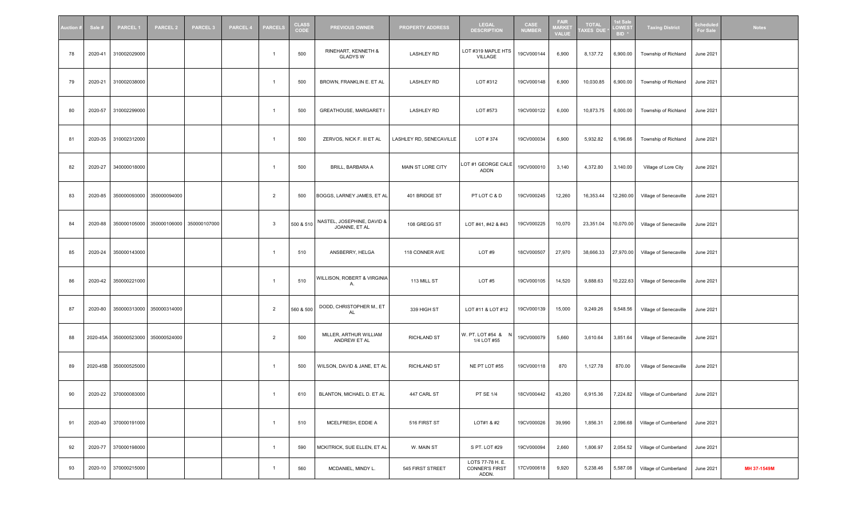| Auction ≢ | Sale #   | <b>PARCEL1</b>       | <b>PARCEL 2</b>           | <b>PARCEL 3</b>                        | <b>PARCEL 4</b> | <b>PARCELS</b> | <b>CLASS</b><br>CODE | <b>PREVIOUS OWNER</b>                       | <b>PROPERTY ADDRESS</b> | <b>LEGAL</b><br><b>DESCRIPTION</b>                 | CASE<br><b>NUMBER</b> | <b>FAIR</b><br><b>MARKET</b><br><b>VALUE</b> | <b>TOTAL</b><br>AXES DUE | 1st Sal<br>LOWES <sub>1</sub><br>BID <sup>3</sup> | <b>Taxing District</b> | Scheduk<br>For Sale | <b>Notes</b> |
|-----------|----------|----------------------|---------------------------|----------------------------------------|-----------------|----------------|----------------------|---------------------------------------------|-------------------------|----------------------------------------------------|-----------------------|----------------------------------------------|--------------------------|---------------------------------------------------|------------------------|---------------------|--------------|
| 78        | 2020-41  | 310002029000         |                           |                                        |                 | $\overline{1}$ | 500                  | RINEHART, KENNETH &<br><b>GLADYS W</b>      | <b>LASHLEY RD</b>       | LOT #319 MAPLE HTS<br>VILLAGE                      | 19CV000144            | 6,900                                        | 8,137.72                 | 6,900.00                                          | Township of Richland   | <b>June 2021</b>    |              |
| 79        | 2020-21  | 310002038000         |                           |                                        |                 | $\overline{1}$ | 500                  | BROWN, FRANKLIN E. ET AL                    | <b>LASHLEY RD</b>       | LOT #312                                           | 19CV000148            | 6,900                                        | 10,030.85                | 6,900.00                                          | Township of Richland   | June 2021           |              |
| 80        | 2020-57  | 310002299000         |                           |                                        |                 | -1             | 500                  | GREATHOUSE, MARGARET I                      | <b>LASHLEY RD</b>       | LOT #573                                           | 19CV000122            | 6,000                                        | 10,873.75                | 6,000.00                                          | Township of Richland   | June 2021           |              |
| 81        | 2020-35  | 310002312000         |                           |                                        |                 | $\overline{1}$ | 500                  | ZERVOS, NICK F. III ET AL                   | LASHLEY RD, SENECAVILLE | LOT # 374                                          | 19CV000034            | 6,900                                        | 5,932.82                 | 6,196.66                                          | Township of Richland   | June 2021           |              |
| 82        | 2020-27  | 340000018000         |                           |                                        |                 | $\mathbf{1}$   | 500                  | BRILL, BARBARA A                            | MAIN ST LORE CITY       | LOT #1 GEORGE CALE<br>ADDN                         | 19CV000010            | 3,140                                        | 4,372.80                 | 3,140.00                                          | Village of Lore City   | <b>June 2021</b>    |              |
| 83        | 2020-85  | 350000093000         | 350000094000              |                                        |                 | $\overline{2}$ | 500                  | BOGGS, LARNEY JAMES, ET AL                  | 401 BRIDGE ST           | PT LOT C & D                                       | 19CV000245            | 12,260                                       | 16,353.44                | 12,260.00                                         | Village of Senecaville | <b>June 2021</b>    |              |
| 84        | 2020-88  |                      |                           | 350000105000 350000106000 350000107000 |                 | -3             | 500 & 510            | NASTEL, JOSEPHINE, DAVID &<br>JOANNE, ET AL | 108 GREGG ST            | LOT #41, #42 & #43                                 | 19CV000225            | 10,070                                       | 23,351.04                | 10,070.00                                         | Village of Senecaville | June 2021           |              |
| 85        | 2020-24  | 350000143000         |                           |                                        |                 | $\overline{1}$ | 510                  | ANSBERRY, HELGA                             | 118 CONNER AVE          | LOT#9                                              | 18CV000507            | 27,970                                       | 38,666.33                | 27,970.00                                         | Village of Senecaville | <b>June 2021</b>    |              |
| 86        | 2020-42  | 350000221000         |                           |                                        |                 | $\overline{1}$ | 510                  | WILLISON, ROBERT & VIRGINIA<br>Α.           | 113 MILL ST             | LOT#5                                              | 19CV000105            | 14,520                                       | 9,888.63                 | 10,222.63                                         | Village of Senecaville | June 2021           |              |
| 87        | 2020-80  |                      | 350000313000 350000314000 |                                        |                 | $\overline{2}$ | 560 & 500            | DODD, CHRISTOPHER M., ET<br>AL              | 339 HIGH ST             | LOT #11 & LOT #12                                  | 19CV000139            | 15,000                                       | 9,249.26                 | 9,548.56                                          | Village of Senecaville | <b>June 2021</b>    |              |
| 88        | 2020-45A |                      | 350000523000 350000524000 |                                        |                 | $\overline{2}$ | 500                  | MILLER, ARTHUR WILLIAM<br>ANDREW ET AL      | <b>RICHLAND ST</b>      | W. PT. LOT #54 &<br>1/4 LOT #55                    | 19CV000079            | 5,660                                        | 3,610.64                 | 3,851.64                                          | Village of Senecaville | <b>June 2021</b>    |              |
| 89        | 2020-45B | 350000525000         |                           |                                        |                 | $\overline{1}$ | 500                  | WILSON, DAVID & JANE, ET AL                 | <b>RICHLAND ST</b>      | NE PT LOT #55                                      | 19CV000118            | 870                                          | 1,127.78                 | 870.00                                            | Village of Senecaville | June 2021           |              |
| 90        |          | 2020-22 370000083000 |                           |                                        |                 | $\overline{1}$ | 610                  | BLANTON, MICHAEL D. ET AL                   | 447 CARL ST             | PT SE 1/4                                          | 18CV000442            | 43,260                                       | 6,915.36                 | 7,224.82                                          | Village of Cumberland  | <b>June 2021</b>    |              |
| 91        | 2020-40  | 370000191000         |                           |                                        |                 | $\overline{1}$ | 510                  | MCELFRESH, EDDIE A                          | 516 FIRST ST            | LOT#1 & #2                                         | 19CV000026            | 39,990                                       | 1,856.31                 | 2,096.68                                          | Village of Cumberland  | <b>June 2021</b>    |              |
| 92        | 2020-77  | 370000198000         |                           |                                        |                 | $\overline{1}$ | 590                  | MCKITRICK, SUE ELLEN, ET AL                 | W. MAIN ST              | S PT. LOT #29                                      | 19CV000094            | 2,660                                        | 1,806.97                 | 2,054.52                                          | Village of Cumberland  | <b>June 2021</b>    |              |
| 93        | 2020-10  | 370000215000         |                           |                                        |                 | $\mathbf{1}$   | 560                  | MCDANIEL, MINDY L.                          | 545 FIRST STREET        | LOTS 77-78 H. E.<br><b>CONNER'S FIRST</b><br>ADDN. | 17CV000618            | 9,920                                        | 5,238.46                 | 5,587.08                                          | Village of Cumberland  | <b>June 2021</b>    | MH 37-1549M  |